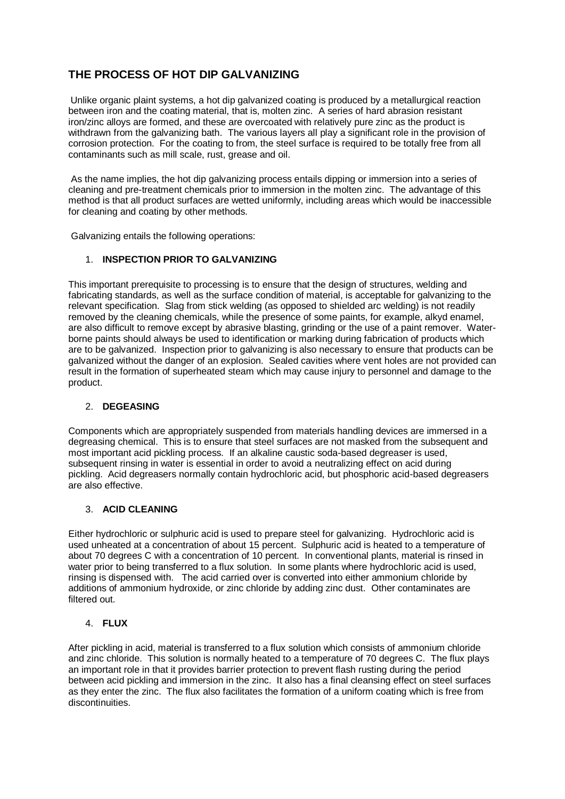# **THE PROCESS OF HOT DIP GALVANIZING**

Unlike organic plaint systems, a hot dip galvanized coating is produced by a metallurgical reaction between iron and the coating material, that is, molten zinc. A series of hard abrasion resistant iron/zinc alloys are formed, and these are overcoated with relatively pure zinc as the product is withdrawn from the galvanizing bath. The various layers all play a significant role in the provision of corrosion protection. For the coating to from, the steel surface is required to be totally free from all contaminants such as mill scale, rust, grease and oil.

As the name implies, the hot dip galvanizing process entails dipping or immersion into a series of cleaning and pre-treatment chemicals prior to immersion in the molten zinc. The advantage of this method is that all product surfaces are wetted uniformly, including areas which would be inaccessible for cleaning and coating by other methods.

Galvanizing entails the following operations:

# 1. **INSPECTION PRIOR TO GALVANIZING**

This important prerequisite to processing is to ensure that the design of structures, welding and fabricating standards, as well as the surface condition of material, is acceptable for galvanizing to the relevant specification. Slag from stick welding (as opposed to shielded arc welding) is not readily removed by the cleaning chemicals, while the presence of some paints, for example, alkyd enamel, are also difficult to remove except by abrasive blasting, grinding or the use of a paint remover. Waterborne paints should always be used to identification or marking during fabrication of products which are to be galvanized. Inspection prior to galvanizing is also necessary to ensure that products can be galvanized without the danger of an explosion. Sealed cavities where vent holes are not provided can result in the formation of superheated steam which may cause injury to personnel and damage to the product.

# 2. **DEGEASING**

Components which are appropriately suspended from materials handling devices are immersed in a degreasing chemical. This is to ensure that steel surfaces are not masked from the subsequent and most important acid pickling process. If an alkaline caustic soda-based degreaser is used, subsequent rinsing in water is essential in order to avoid a neutralizing effect on acid during pickling. Acid degreasers normally contain hydrochloric acid, but phosphoric acid-based degreasers are also effective.

# 3. **ACID CLEANING**

Either hydrochloric or sulphuric acid is used to prepare steel for galvanizing. Hydrochloric acid is used unheated at a concentration of about 15 percent. Sulphuric acid is heated to a temperature of about 70 degrees C with a concentration of 10 percent. In conventional plants, material is rinsed in water prior to being transferred to a flux solution. In some plants where hydrochloric acid is used, rinsing is dispensed with. The acid carried over is converted into either ammonium chloride by additions of ammonium hydroxide, or zinc chloride by adding zinc dust. Other contaminates are filtered out.

# 4. **FLUX**

After pickling in acid, material is transferred to a flux solution which consists of ammonium chloride and zinc chloride. This solution is normally heated to a temperature of 70 degrees C. The flux plays an important role in that it provides barrier protection to prevent flash rusting during the period between acid pickling and immersion in the zinc. It also has a final cleansing effect on steel surfaces as they enter the zinc. The flux also facilitates the formation of a uniform coating which is free from discontinuities.